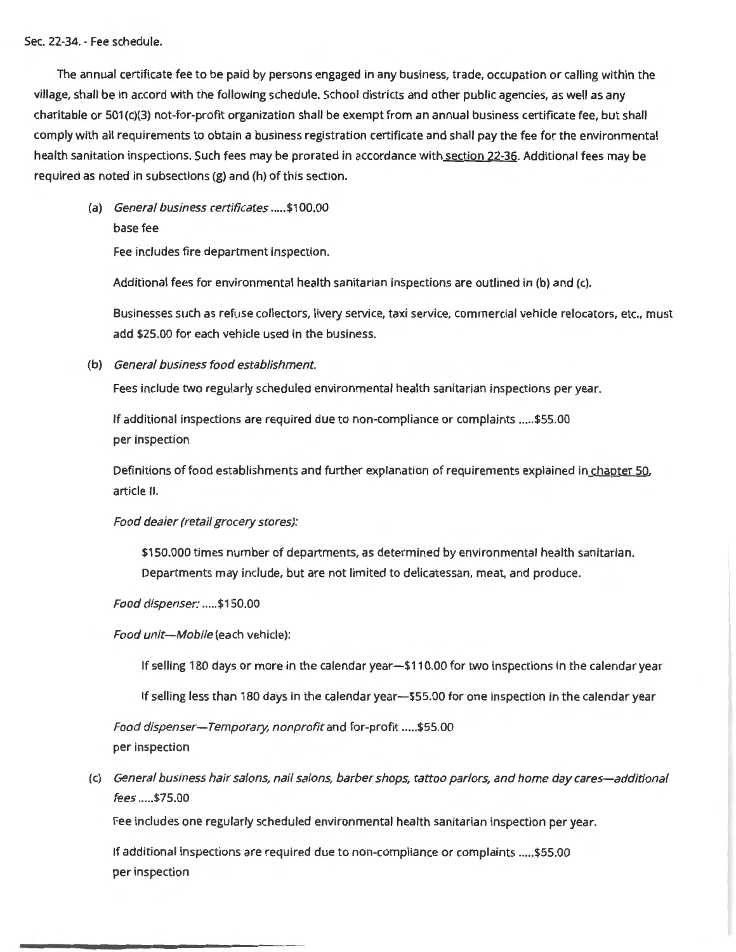Sec. 22-34. - Fee schedule.

The annual certificate fee to be paid by persons engaged in any business, trade, occupation or calling within the village, shall be in accord with the following schedule. School districts and other public agencies, as well as any charitable or 501 (c)(3) not-for-profit organization shall be exempt from an annual business certificate fee, but shall comply with all requirements to obtain a business registration certificate and shall pay the fee for the environmental health sanitation inspections. Such fees may be prorated in accordance with section 22-36. Additional fees may be required as noted in subsections (g) and (h) of this section.

(a) General business certificates ..... \$1 00.00 base fee

Fee includes fire department inspection.

Additional fees for environmental health sanitarian inspections are outlined in (b) and (c).

Businesses such as refuse collectors, livery service, taxi service, commercial vehicle relocators, etc., must add \$25.00 for each vehicle used in the business.

(b) General business food establishment.

Fees include two regularly scheduled environmental health sanitarian inspections per year.

If additional inspections are required due to non-compliance or complaints ..... \$55.00 per inspection

Definitions of food establishments and further explanation of requirements explained in chapter 50, article II.

Food dealer (retail grocery stores):

\$150.000 times number of departments, as determined by environmental health sanitarian. Departments may include, but are not limited to delicatessan, meat, and produce.

Food dispenser: ..... \$150.00

Food unit-Mobile (each vehicle):

If selling 180 days or more in the calendar year-\$110.00 for two inspections in the calendar year

If selling less than 180 days in the calendar year-\$55.00 for one inspection in the calendar year

Food dispenser-Temporary, nonprofit and for-profit ..... \$55.00 per inspection

(c) General business hair salons, nail salons, barber shops, tattoo parlors, and home day cares-additional fees ..... \$75.00

Fee includes one regularly scheduled environmental health sanitarian inspection per year.

If additional inspections are required due to non-compliance or complaints ..... \$55.00 per inspection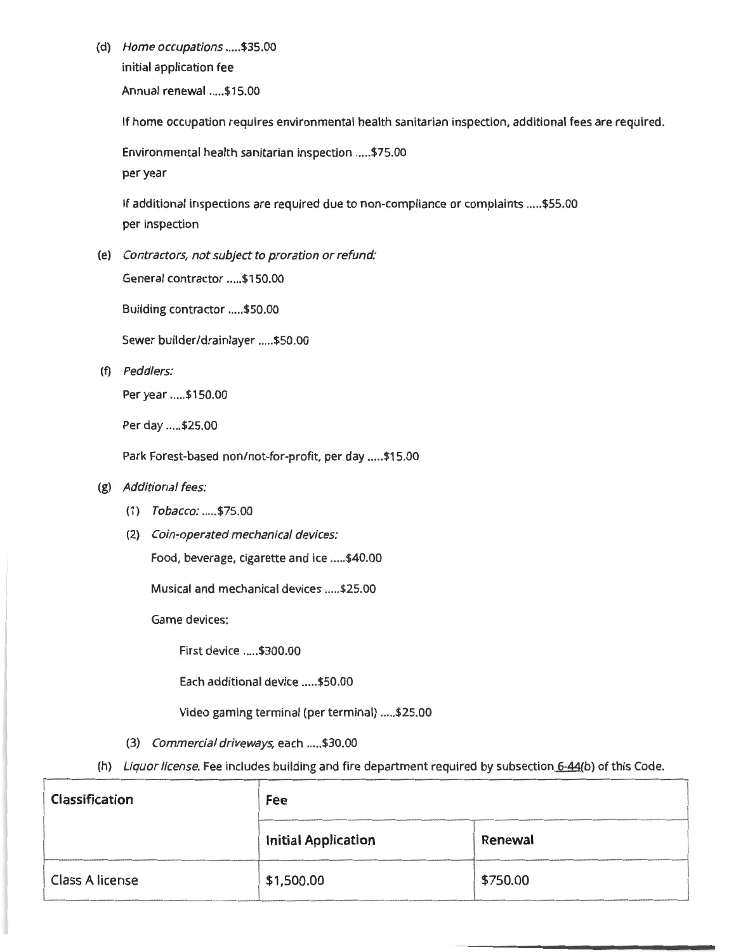(d) Home occupations ..... \$35.00 initial application fee Annual renewal ..... \$15.00

If home occupation requires environmental health sanitarian inspection, additional fees are required.

Environmental health sanitarian inspection ..... \$75.00 per year

If additional inspections are required due to non-compliance or complaints ..... \$55.00 per inspection

(e) Contractors, not subject to proration or refund:

General contractor ..... \$1 50.00

Building contractor ..... \$50.00

Sewer builder/drainlayer ..... \$50.00

(f) Peddlers:

Per year ..... \$150.00

Per day ..... \$25.00

Park Forest-based non/not-for-profit, per day ..... \$15.00

- (g) Additional fees:
	- (1) Tobacco: ..... \$75.00
	- (2) Coin-operated mechanical devices:

Food, beverage, cigarette and ice ..... \$40.00

Musical and mechanical devices ..... \$25.00

Game devices:

First device ..... \$300.00

Each additional device ..... \$50.00

Video gaming terminal (per terminal) ..... \$25.00

- (3) Commercial driveways, each ..... \$30.00
- (h) Liquor license. Fee includes building and fire department required by subsection 6-44(b) of this Code.

| Classification  | Fee                        |          |
|-----------------|----------------------------|----------|
|                 | <b>Initial Application</b> | Renewal  |
| Class A license | \$1,500.00                 | \$750.00 |